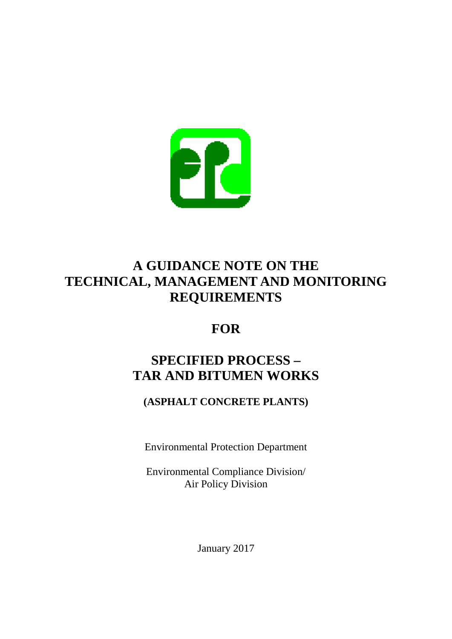

## **A GUIDANCE NOTE ON THE TECHNICAL, MANAGEMENT AND MONITORING REQUIREMENTS**

## **FOR**

# **SPECIFIED PROCESS – TAR AND BITUMEN WORKS**

## **(ASPHALT CONCRETE PLANTS)**

Environmental Protection Department

Environmental Compliance Division/ Air Policy Division

January 2017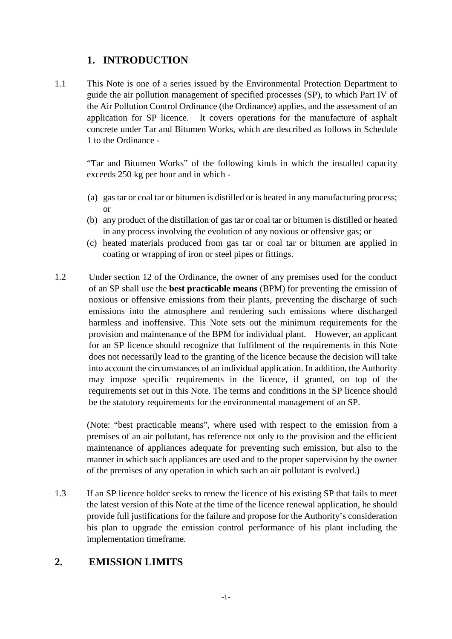## **1. INTRODUCTION**

1.1 This Note is one of a series issued by the Environmental Protection Department to guide the air pollution management of specified processes (SP), to which Part IV of the Air Pollution Control Ordinance (the Ordinance) applies, and the assessment of an application for SP licence. It covers operations for the manufacture of asphalt concrete under Tar and Bitumen Works, which are described as follows in Schedule 1 to the Ordinance -

"Tar and Bitumen Works" of the following kinds in which the installed capacity exceeds 250 kg per hour and in which -

- (a) gas tar or coal tar or bitumen is distilled or is heated in any manufacturing process; or
- (b) any product of the distillation of gas tar or coal tar or bitumen is distilled or heated in any process involving the evolution of any noxious or offensive gas; or
- (c) heated materials produced from gas tar or coal tar or bitumen are applied in coating or wrapping of iron or steel pipes or fittings.
- 1.2 Under section 12 of the Ordinance, the owner of any premises used for the conduct of an SP shall use the **best practicable means** (BPM) for preventing the emission of noxious or offensive emissions from their plants, preventing the discharge of such emissions into the atmosphere and rendering such emissions where discharged harmless and inoffensive. This Note sets out the minimum requirements for the provision and maintenance of the BPM for individual plant. However, an applicant for an SP licence should recognize that fulfilment of the requirements in this Note does not necessarily lead to the granting of the licence because the decision will take into account the circumstances of an individual application. In addition, the Authority may impose specific requirements in the licence, if granted, on top of the requirements set out in this Note. The terms and conditions in the SP licence should be the statutory requirements for the environmental management of an SP.

(Note: "best practicable means", where used with respect to the emission from a premises of an air pollutant, has reference not only to the provision and the efficient maintenance of appliances adequate for preventing such emission, but also to the manner in which such appliances are used and to the proper supervision by the owner of the premises of any operation in which such an air pollutant is evolved.)

1.3 If an SP licence holder seeks to renew the licence of his existing SP that fails to meet the latest version of this Note at the time of the licence renewal application, he should provide full justifications for the failure and propose for the Authority's consideration his plan to upgrade the emission control performance of his plant including the implementation timeframe.

### **2. EMISSION LIMITS**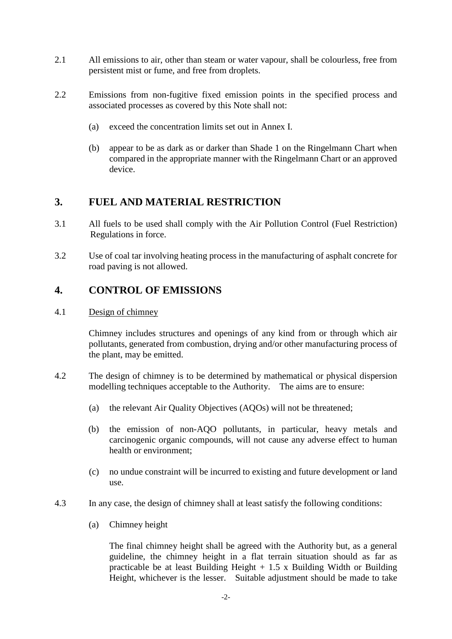- 2.1 All emissions to air, other than steam or water vapour, shall be colourless, free from persistent mist or fume, and free from droplets.
- 2.2 Emissions from non-fugitive fixed emission points in the specified process and associated processes as covered by this Note shall not:
	- (a) exceed the concentration limits set out in Annex I.
	- (b) appear to be as dark as or darker than Shade 1 on the Ringelmann Chart when compared in the appropriate manner with the Ringelmann Chart or an approved device.

## **3. FUEL AND MATERIAL RESTRICTION**

- 3.1 All fuels to be used shall comply with the Air Pollution Control (Fuel Restriction) Regulations in force.
- 3.2 Use of coal tar involving heating process in the manufacturing of asphalt concrete for road paving is not allowed.

## **4. CONTROL OF EMISSIONS**

#### 4.1 Design of chimney

Chimney includes structures and openings of any kind from or through which air pollutants, generated from combustion, drying and/or other manufacturing process of the plant, may be emitted.

- 4.2 The design of chimney is to be determined by mathematical or physical dispersion modelling techniques acceptable to the Authority. The aims are to ensure:
	- (a) the relevant Air Quality Objectives (AQOs) will not be threatened;
	- (b) the emission of non-AQO pollutants, in particular, heavy metals and carcinogenic organic compounds, will not cause any adverse effect to human health or environment;
	- (c) no undue constraint will be incurred to existing and future development or land use.
- 4.3 In any case, the design of chimney shall at least satisfy the following conditions:
	- (a) Chimney height

The final chimney height shall be agreed with the Authority but, as a general guideline, the chimney height in a flat terrain situation should as far as practicable be at least Building Height  $+ 1.5 \times$  Building Width or Building Height, whichever is the lesser. Suitable adjustment should be made to take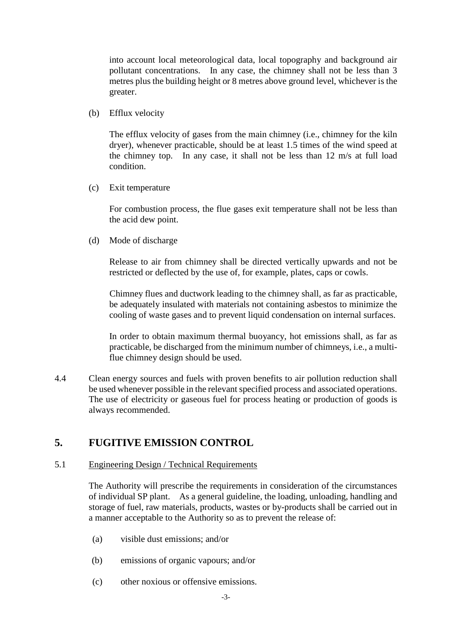into account local meteorological data, local topography and background air pollutant concentrations. In any case, the chimney shall not be less than 3 metres plus the building height or 8 metres above ground level, whichever is the greater.

(b) Efflux velocity

The efflux velocity of gases from the main chimney (i.e., chimney for the kiln dryer), whenever practicable, should be at least 1.5 times of the wind speed at the chimney top. In any case, it shall not be less than 12 m/s at full load condition.

(c) Exit temperature

For combustion process, the flue gases exit temperature shall not be less than the acid dew point.

(d) Mode of discharge

Release to air from chimney shall be directed vertically upwards and not be restricted or deflected by the use of, for example, plates, caps or cowls.

Chimney flues and ductwork leading to the chimney shall, as far as practicable, be adequately insulated with materials not containing asbestos to minimize the cooling of waste gases and to prevent liquid condensation on internal surfaces.

In order to obtain maximum thermal buoyancy, hot emissions shall, as far as practicable, be discharged from the minimum number of chimneys, i.e., a multiflue chimney design should be used.

4.4 Clean energy sources and fuels with proven benefits to air pollution reduction shall be used whenever possible in the relevant specified process and associated operations. The use of electricity or gaseous fuel for process heating or production of goods is always recommended.

## **5. FUGITIVE EMISSION CONTROL**

#### 5.1 Engineering Design / Technical Requirements

The Authority will prescribe the requirements in consideration of the circumstances of individual SP plant. As a general guideline, the loading, unloading, handling and storage of fuel, raw materials, products, wastes or by-products shall be carried out in a manner acceptable to the Authority so as to prevent the release of:

- (a) visible dust emissions; and/or
- (b) emissions of organic vapours; and/or
- (c) other noxious or offensive emissions.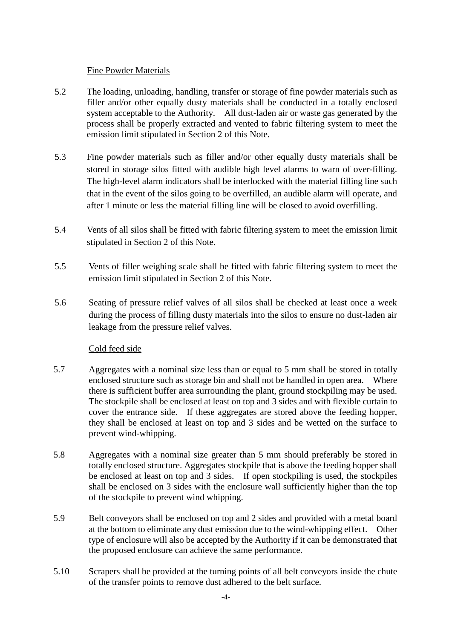#### Fine Powder Materials

- 5.2 The loading, unloading, handling, transfer or storage of fine powder materials such as filler and/or other equally dusty materials shall be conducted in a totally enclosed system acceptable to the Authority. All dust-laden air or waste gas generated by the process shall be properly extracted and vented to fabric filtering system to meet the emission limit stipulated in Section 2 of this Note.
- 5.3 Fine powder materials such as filler and/or other equally dusty materials shall be stored in storage silos fitted with audible high level alarms to warn of over-filling. The high-level alarm indicators shall be interlocked with the material filling line such that in the event of the silos going to be overfilled, an audible alarm will operate, and after 1 minute or less the material filling line will be closed to avoid overfilling.
- 5.4 Vents of all silos shall be fitted with fabric filtering system to meet the emission limit stipulated in Section 2 of this Note.
- 5.5 Vents of filler weighing scale shall be fitted with fabric filtering system to meet the emission limit stipulated in Section 2 of this Note.
- 5.6 Seating of pressure relief valves of all silos shall be checked at least once a week during the process of filling dusty materials into the silos to ensure no dust-laden air leakage from the pressure relief valves.

#### Cold feed side

- 5.7 Aggregates with a nominal size less than or equal to 5 mm shall be stored in totally enclosed structure such as storage bin and shall not be handled in open area. Where there is sufficient buffer area surrounding the plant, ground stockpiling may be used. The stockpile shall be enclosed at least on top and 3 sides and with flexible curtain to cover the entrance side. If these aggregates are stored above the feeding hopper, they shall be enclosed at least on top and 3 sides and be wetted on the surface to prevent wind-whipping.
- 5.8 Aggregates with a nominal size greater than 5 mm should preferably be stored in totally enclosed structure. Aggregates stockpile that is above the feeding hopper shall be enclosed at least on top and 3 sides. If open stockpiling is used, the stockpiles shall be enclosed on 3 sides with the enclosure wall sufficiently higher than the top of the stockpile to prevent wind whipping.
- 5.9 Belt conveyors shall be enclosed on top and 2 sides and provided with a metal board at the bottom to eliminate any dust emission due to the wind-whipping effect. Other type of enclosure will also be accepted by the Authority if it can be demonstrated that the proposed enclosure can achieve the same performance.
- 5.10 Scrapers shall be provided at the turning points of all belt conveyors inside the chute of the transfer points to remove dust adhered to the belt surface.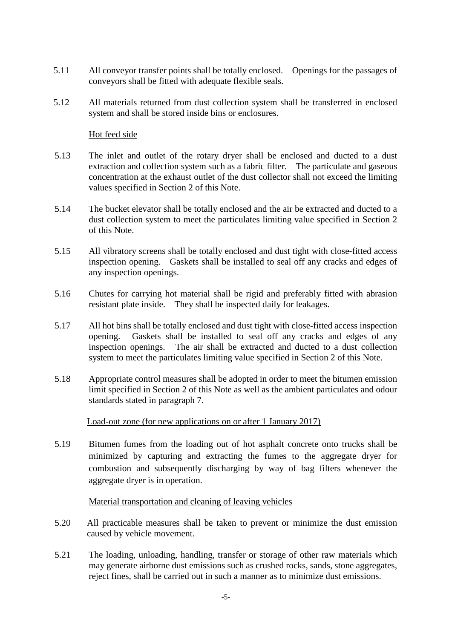- 5.11 All conveyor transfer points shall be totally enclosed. Openings for the passages of conveyors shall be fitted with adequate flexible seals.
- 5.12 All materials returned from dust collection system shall be transferred in enclosed system and shall be stored inside bins or enclosures.

#### Hot feed side

- 5.13 The inlet and outlet of the rotary dryer shall be enclosed and ducted to a dust extraction and collection system such as a fabric filter. The particulate and gaseous concentration at the exhaust outlet of the dust collector shall not exceed the limiting values specified in Section 2 of this Note.
- 5.14 The bucket elevator shall be totally enclosed and the air be extracted and ducted to a dust collection system to meet the particulates limiting value specified in Section 2 of this Note.
- 5.15 All vibratory screens shall be totally enclosed and dust tight with close-fitted access inspection opening. Gaskets shall be installed to seal off any cracks and edges of any inspection openings.
- 5.16 Chutes for carrying hot material shall be rigid and preferably fitted with abrasion resistant plate inside. They shall be inspected daily for leakages.
- 5.17 All hot bins shall be totally enclosed and dust tight with close-fitted access inspection opening. Gaskets shall be installed to seal off any cracks and edges of any inspection openings. The air shall be extracted and ducted to a dust collection system to meet the particulates limiting value specified in Section 2 of this Note.
- 5.18 Appropriate control measures shall be adopted in order to meet the bitumen emission limit specified in Section 2 of this Note as well as the ambient particulates and odour standards stated in paragraph 7.

Load-out zone (for new applications on or after 1 January 2017)

5.19 Bitumen fumes from the loading out of hot asphalt concrete onto trucks shall be minimized by capturing and extracting the fumes to the aggregate dryer for combustion and subsequently discharging by way of bag filters whenever the aggregate dryer is in operation.

#### Material transportation and cleaning of leaving vehicles

- 5.20 All practicable measures shall be taken to prevent or minimize the dust emission caused by vehicle movement.
- 5.21 The loading, unloading, handling, transfer or storage of other raw materials which may generate airborne dust emissions such as crushed rocks, sands, stone aggregates, reject fines, shall be carried out in such a manner as to minimize dust emissions.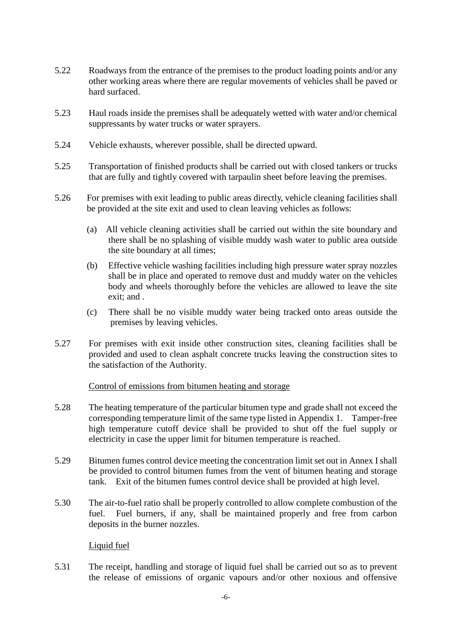- 5.22 Roadways from the entrance of the premises to the product loading points and/or any other working areas where there are regular movements of vehicles shall be paved or hard surfaced.
- 5.23 Haul roads inside the premises shall be adequately wetted with water and/or chemical suppressants by water trucks or water sprayers.
- 5.24 Vehicle exhausts, wherever possible, shall be directed upward.
- 5.25 Transportation of finished products shall be carried out with closed tankers or trucks that are fully and tightly covered with tarpaulin sheet before leaving the premises.
- 5.26 For premises with exit leading to public areas directly, vehicle cleaning facilities shall be provided at the site exit and used to clean leaving vehicles as follows:
	- (a) All vehicle cleaning activities shall be carried out within the site boundary and there shall be no splashing of visible muddy wash water to public area outside the site boundary at all times;
	- (b) Effective vehicle washing facilities including high pressure water spray nozzles shall be in place and operated to remove dust and muddy water on the vehicles body and wheels thoroughly before the vehicles are allowed to leave the site exit; and .
	- (c) There shall be no visible muddy water being tracked onto areas outside the premises by leaving vehicles.
- 5.27 For premises with exit inside other construction sites, cleaning facilities shall be provided and used to clean asphalt concrete trucks leaving the construction sites to the satisfaction of the Authority.

#### Control of emissions from bitumen heating and storage

- 5.28 The heating temperature of the particular bitumen type and grade shall not exceed the corresponding temperature limit of the same type listed in Appendix 1. Tamper-free high temperature cutoff device shall be provided to shut off the fuel supply or electricity in case the upper limit for bitumen temperature is reached.
- 5.29 Bitumen fumes control device meeting the concentration limit set out in Annex I shall be provided to control bitumen fumes from the vent of bitumen heating and storage tank. Exit of the bitumen fumes control device shall be provided at high level.
- 5.30 The air-to-fuel ratio shall be properly controlled to allow complete combustion of the fuel. Fuel burners, if any, shall be maintained properly and free from carbon deposits in the burner nozzles.

#### Liquid fuel

5.31 The receipt, handling and storage of liquid fuel shall be carried out so as to prevent the release of emissions of organic vapours and/or other noxious and offensive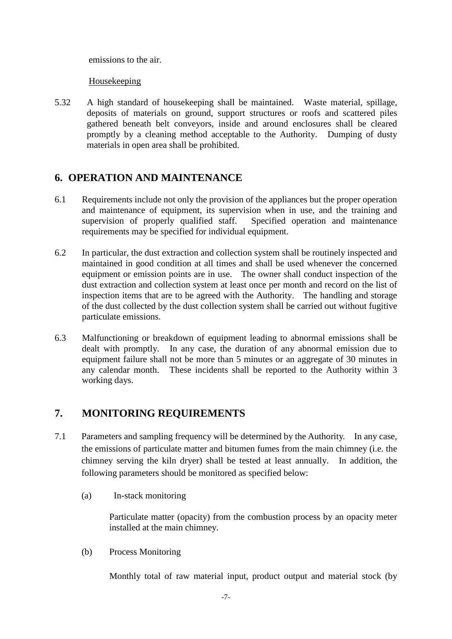emissions to the air.

Housekeeping

5.32 A high standard of housekeeping shall be maintained. Waste material, spillage, deposits of materials on ground, support structures or roofs and scattered piles gathered beneath belt conveyors, inside and around enclosures shall be cleared promptly by a cleaning method acceptable to the Authority. Dumping of dusty materials in open area shall be prohibited.

## **6. OPERATION AND MAINTENANCE**

- 6.1 Requirements include not only the provision of the appliances but the proper operation and maintenance of equipment, its supervision when in use, and the training and supervision of properly qualified staff. Specified operation and maintenance requirements may be specified for individual equipment.
- 6.2 In particular, the dust extraction and collection system shall be routinely inspected and maintained in good condition at all times and shall be used whenever the concerned equipment or emission points are in use. The owner shall conduct inspection of the dust extraction and collection system at least once per month and record on the list of inspection items that are to be agreed with the Authority. The handling and storage of the dust collected by the dust collection system shall be carried out without fugitive particulate emissions.
- 6.3 Malfunctioning or breakdown of equipment leading to abnormal emissions shall be dealt with promptly. In any case, the duration of any abnormal emission due to equipment failure shall not be more than 5 minutes or an aggregate of 30 minutes in any calendar month. These incidents shall be reported to the Authority within 3 working days.

## **7. MONITORING REQUIREMENTS**

- 7.1 Parameters and sampling frequency will be determined by the Authority. In any case, the emissions of particulate matter and bitumen fumes from the main chimney (i.e. the chimney serving the kiln dryer) shall be tested at least annually. In addition, the following parameters should be monitored as specified below:
	- (a) In-stack monitoring

Particulate matter (opacity) from the combustion process by an opacity meter installed at the main chimney.

(b) Process Monitoring

Monthly total of raw material input, product output and material stock (by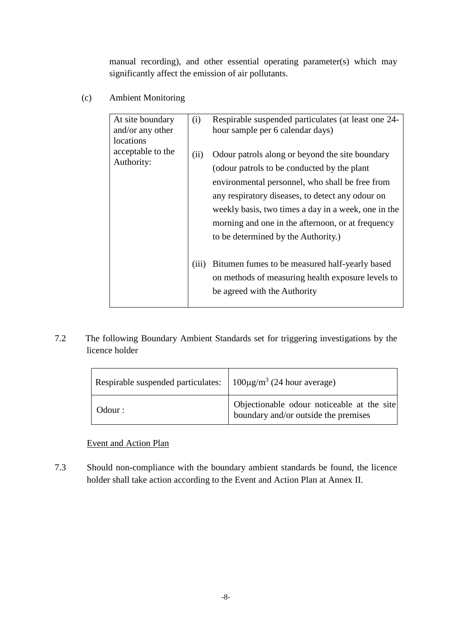manual recording), and other essential operating parameter(s) which may significantly affect the emission of air pollutants.

(c) Ambient Monitoring

| At site boundary<br>and/or any other<br>locations | (i)   | Respirable suspended particulates (at least one 24-<br>hour sample per 6 calendar days)                                                                                                                                                                                                                                                                   |
|---------------------------------------------------|-------|-----------------------------------------------------------------------------------------------------------------------------------------------------------------------------------------------------------------------------------------------------------------------------------------------------------------------------------------------------------|
| acceptable to the<br>Authority:                   | (ii)  | Odour patrols along or beyond the site boundary<br>(odour patrols to be conducted by the plant)<br>environmental personnel, who shall be free from<br>any respiratory diseases, to detect any odour on<br>weekly basis, two times a day in a week, one in the<br>morning and one in the afternoon, or at frequency<br>to be determined by the Authority.) |
|                                                   | (iii) | Bitumen fumes to be measured half-yearly based<br>on methods of measuring health exposure levels to<br>be agreed with the Authority                                                                                                                                                                                                                       |

## 7.2 The following Boundary Ambient Standards set for triggering investigations by the licence holder

| Respirable suspended particulates: $100 \mu g/m^3$ (24 hour average) |                                                                                    |
|----------------------------------------------------------------------|------------------------------------------------------------------------------------|
| Odour :                                                              | Objectionable odour noticeable at the site<br>boundary and/or outside the premises |

#### Event and Action Plan

7.3 Should non-compliance with the boundary ambient standards be found, the licence holder shall take action according to the Event and Action Plan at Annex II.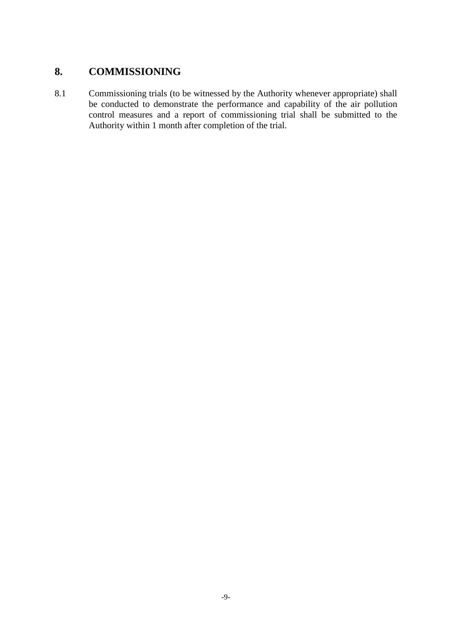## **8. COMMISSIONING**

8.1 Commissioning trials (to be witnessed by the Authority whenever appropriate) shall be conducted to demonstrate the performance and capability of the air pollution control measures and a report of commissioning trial shall be submitted to the Authority within 1 month after completion of the trial.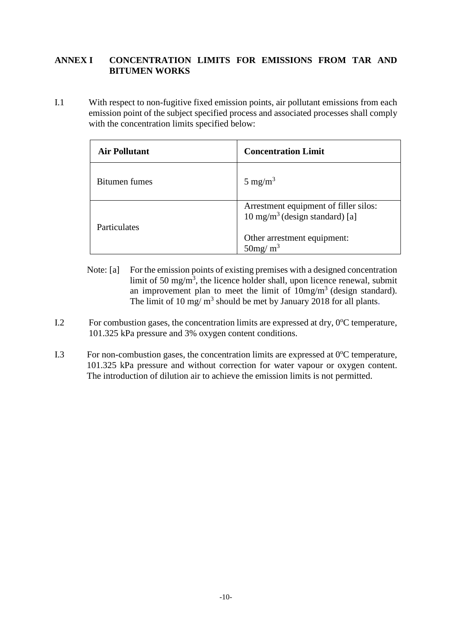#### **ANNEX I CONCENTRATION LIMITS FOR EMISSIONS FROM TAR AND BITUMEN WORKS**

I.1 With respect to non-fugitive fixed emission points, air pollutant emissions from each emission point of the subject specified process and associated processes shall comply with the concentration limits specified below:

| <b>Air Pollutant</b> | <b>Concentration Limit</b>                                                         |
|----------------------|------------------------------------------------------------------------------------|
| Bitumen fumes        | $5 \text{ mg/m}^3$                                                                 |
| Particulates         | Arrestment equipment of filler silos:<br>$10 \text{ mg/m}^3$ (design standard) [a] |
|                      | Other arrestment equipment:<br>$50$ mg/m <sup>3</sup>                              |

- Note: [a] For the emission points of existing premises with a designed concentration limit of 50 mg/m<sup>3</sup>, the licence holder shall, upon licence renewal, submit an improvement plan to meet the limit of  $10mg/m<sup>3</sup>$  (design standard). The limit of 10 mg/ $m<sup>3</sup>$  should be met by January 2018 for all plants.
- I.2 For combustion gases, the concentration limits are expressed at dry, 0°C temperature, 101.325 kPa pressure and 3% oxygen content conditions.
- I.3 For non-combustion gases, the concentration limits are expressed at  $0^{\circ}$ C temperature, 101.325 kPa pressure and without correction for water vapour or oxygen content. The introduction of dilution air to achieve the emission limits is not permitted.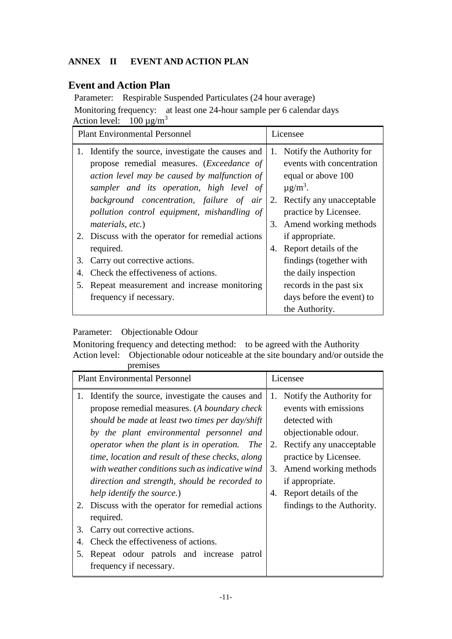#### **ANNEX II EVENT AND ACTION PLAN**

## **Event and Action Plan**

Parameter: Respirable Suspended Particulates (24 hour average) Monitoring frequency: at least one 24-hour sample per 6 calendar days Action level:  $100 \mu g/m^3$ 

| <b>Plant Environmental Personnel</b> |                                                                                                                                                                                                                                                                                                                 |          | Licensee                                                                                                                                                                                 |  |
|--------------------------------------|-----------------------------------------------------------------------------------------------------------------------------------------------------------------------------------------------------------------------------------------------------------------------------------------------------------------|----------|------------------------------------------------------------------------------------------------------------------------------------------------------------------------------------------|--|
|                                      | Identify the source, investigate the causes and<br>propose remedial measures. ( <i>Exceedance of</i><br>action level may be caused by malfunction of<br>sampler and its operation, high level of<br>background concentration, failure of air<br>pollution control equipment, mishandling of<br>materials, etc.) | 1.<br>3. | Notify the Authority for<br>events with concentration<br>equal or above 100<br>$\mu$ g/m <sup>3</sup> .<br>2. Rectify any unacceptable<br>practice by Licensee.<br>Amend working methods |  |
|                                      | 2. Discuss with the operator for remedial actions<br>required.                                                                                                                                                                                                                                                  | 4.       | if appropriate.<br>Report details of the                                                                                                                                                 |  |
| Carry out corrective actions.<br>3.  |                                                                                                                                                                                                                                                                                                                 |          | findings (together with                                                                                                                                                                  |  |
| 4.                                   | Check the effectiveness of actions.                                                                                                                                                                                                                                                                             |          | the daily inspection                                                                                                                                                                     |  |
| 5.                                   | Repeat measurement and increase monitoring                                                                                                                                                                                                                                                                      |          | records in the past six                                                                                                                                                                  |  |
|                                      | frequency if necessary.                                                                                                                                                                                                                                                                                         |          | days before the event) to                                                                                                                                                                |  |
|                                      |                                                                                                                                                                                                                                                                                                                 |          | the Authority.                                                                                                                                                                           |  |

## Parameter: Objectionable Odour

Monitoring frequency and detecting method: to be agreed with the Authority Action level: Objectionable odour noticeable at the site boundary and/or outside the premises

| ргеннэсэ                                                                                                                                                                                                                                                                                                                                                                                                                                          |                                                                                                                                                                                                                                           |  |
|---------------------------------------------------------------------------------------------------------------------------------------------------------------------------------------------------------------------------------------------------------------------------------------------------------------------------------------------------------------------------------------------------------------------------------------------------|-------------------------------------------------------------------------------------------------------------------------------------------------------------------------------------------------------------------------------------------|--|
| <b>Plant Environmental Personnel</b>                                                                                                                                                                                                                                                                                                                                                                                                              | Licensee                                                                                                                                                                                                                                  |  |
| 1. Identify the source, investigate the causes and<br>propose remedial measures. (A boundary check<br>should be made at least two times per day/shift<br>by the plant environmental personnel and<br>operator when the plant is in operation.<br><i>The</i><br>time, location and result of these checks, along<br>with weather conditions such as indicative wind<br>direction and strength, should be recorded to<br>help identify the source.) | Notify the Authority for<br>1.<br>events with emissions<br>detected with<br>objectionable odour.<br>2. Rectify any unacceptable<br>practice by Licensee.<br>Amend working methods<br>3.<br>if appropriate.<br>Report details of the<br>4. |  |
| 2. Discuss with the operator for remedial actions<br>required.                                                                                                                                                                                                                                                                                                                                                                                    | findings to the Authority.                                                                                                                                                                                                                |  |
| Carry out corrective actions.<br>3.                                                                                                                                                                                                                                                                                                                                                                                                               |                                                                                                                                                                                                                                           |  |
| Check the effectiveness of actions.<br>4.                                                                                                                                                                                                                                                                                                                                                                                                         |                                                                                                                                                                                                                                           |  |
| Repeat odour patrols and increase<br>5.<br>patrol<br>frequency if necessary.                                                                                                                                                                                                                                                                                                                                                                      |                                                                                                                                                                                                                                           |  |